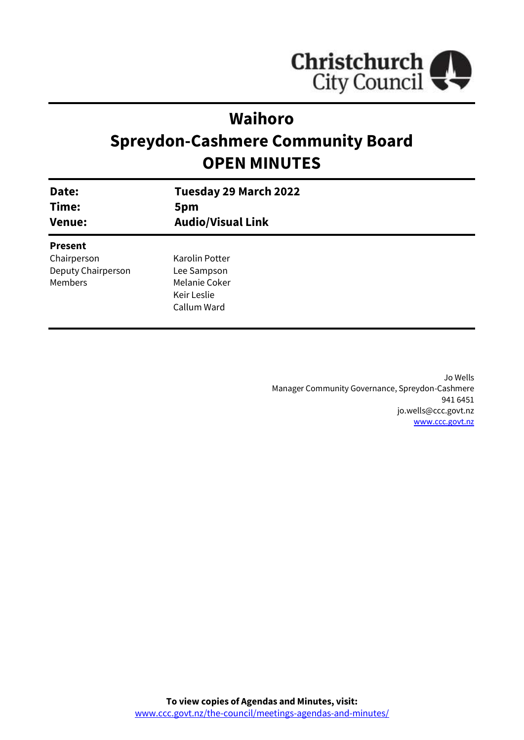

# **Waihoro**

# **Spreydon-Cashmere Community Board OPEN MINUTES**

| Date:<br>Time:<br><b>Venue:</b> | Tuesday 29 March 2022<br>5pm<br><b>Audio/Visual Link</b> |
|---------------------------------|----------------------------------------------------------|
| <b>Present</b>                  |                                                          |
| Chairperson                     | Karolin Potter                                           |
| Deputy Chairperson              | Lee Sampson                                              |
| Members                         | Melanie Coker                                            |
|                                 | Keir Leslie                                              |
|                                 | Callum Ward                                              |
|                                 |                                                          |

Jo Wells Manager Community Governance, Spreydon-Cashmere 941 6451 jo.wells@ccc.govt.nz [www.ccc.govt.nz](http://www.ccc.govt.nz/)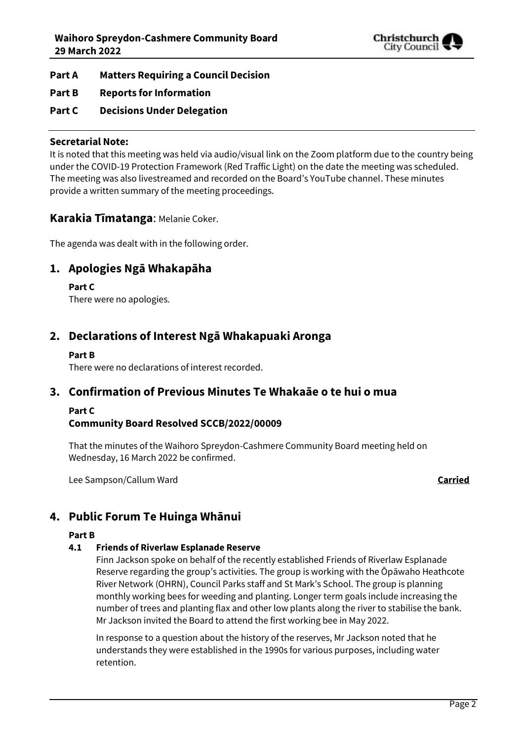

- **Part A Matters Requiring a Council Decision**
- **Part B Reports for Information**
- **Part C Decisions Under Delegation**

## **Secretarial Note:**

It is noted that this meeting was held via audio/visual link on the Zoom platform due to the country being under the COVID-19 Protection Framework (Red Traffic Light) on the date the meeting was scheduled. The meeting was also livestreamed and recorded on the Board's YouTube channel. These minutes provide a written summary of the meeting proceedings.

## **Karakia Tīmatanga**: Melanie Coker.

The agenda was dealt with in the following order.

## **1. Apologies Ngā Whakapāha**

## **Part C**

There were no apologies.

## **2. Declarations of Interest Ngā Whakapuaki Aronga**

#### **Part B**

There were no declarations of interest recorded.

## **3. Confirmation of Previous Minutes Te Whakaāe o te hui o mua**

#### **Part C**

## **Community Board Resolved SCCB/2022/00009**

That the minutes of the Waihoro Spreydon-Cashmere Community Board meeting held on Wednesday, 16 March 2022 be confirmed.

Lee Sampson/Callum Ward **Carried**

## **4. Public Forum Te Huinga Whānui**

#### **Part B**

## **4.1 Friends of Riverlaw Esplanade Reserve**

Finn Jackson spoke on behalf of the recently established Friends of Riverlaw Esplanade Reserve regarding the group's activities. The group is working with the Ōpāwaho Heathcote River Network (OHRN), Council Parks staff and St Mark's School. The group is planning monthly working bees for weeding and planting. Longer term goals include increasing the number of trees and planting flax and other low plants along the river to stabilise the bank. Mr Jackson invited the Board to attend the first working bee in May 2022.

In response to a question about the history of the reserves, Mr Jackson noted that he understands they were established in the 1990s for various purposes, including water retention.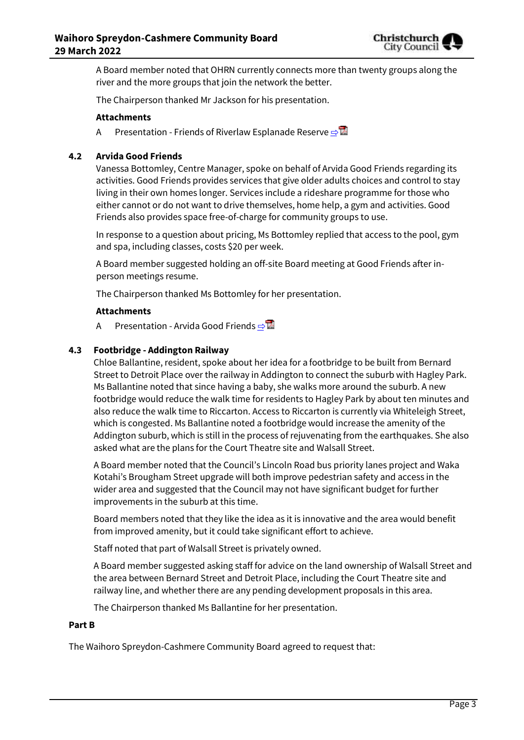

A Board member noted that OHRN currently connects more than twenty groups along the river and the more groups that join the network the better.

The Chairperson thanked Mr Jackson for his presentation.

#### **Attachments**

A Presentation - Friends of Riverlaw Esplanade Reserve ⇒

#### **4.2 Arvida Good Friends**

Vanessa Bottomley, Centre Manager, spoke on behalf of Arvida Good Friends regarding its activities. Good Friends provides services that give older adults choices and control to stay living in their own homes longer. Services include a rideshare programme for those who either cannot or do not want to drive themselves, home help, a gym and activities. Good Friends also provides space free-of-charge for community groups to use.

In response to a question about pricing, Ms Bottomley replied that access to the pool, gym and spa, including classes, costs \$20 per week.

A Board member suggested holding an off-site Board meeting at Good Friends after inperson meetings resume.

The Chairperson thanked Ms Bottomley for her presentation.

#### **Attachments**

A Presentation - Arvida Good Friends ⇒

#### **4.3 Footbridge - Addington Railway**

Chloe Ballantine, resident, spoke about her idea for a footbridge to be built from Bernard Street to Detroit Place over the railway in Addington to connect the suburb with Hagley Park. Ms Ballantine noted that since having a baby, she walks more around the suburb. A new footbridge would reduce the walk time for residents to Hagley Park by about ten minutes and also reduce the walk time to Riccarton. Access to Riccarton is currently via Whiteleigh Street, which is congested. Ms Ballantine noted a footbridge would increase the amenity of the Addington suburb, which is still in the process of rejuvenating from the earthquakes. She also asked what are the plans for the Court Theatre site and Walsall Street.

A Board member noted that the Council's Lincoln Road bus priority lanes project and Waka Kotahi's Brougham Street upgrade will both improve pedestrian safety and access in the wider area and suggested that the Council may not have significant budget for further improvements in the suburb at this time.

Board members noted that they like the idea as it is innovative and the area would benefit from improved amenity, but it could take significant effort to achieve.

Staff noted that part of Walsall Street is privately owned.

A Board member suggested asking staff for advice on the land ownership of Walsall Street and the area between Bernard Street and Detroit Place, including the Court Theatre site and railway line, and whether there are any pending development proposals in this area.

The Chairperson thanked Ms Ballantine for her presentation.

#### **Part B**

The Waihoro Spreydon-Cashmere Community Board agreed to request that: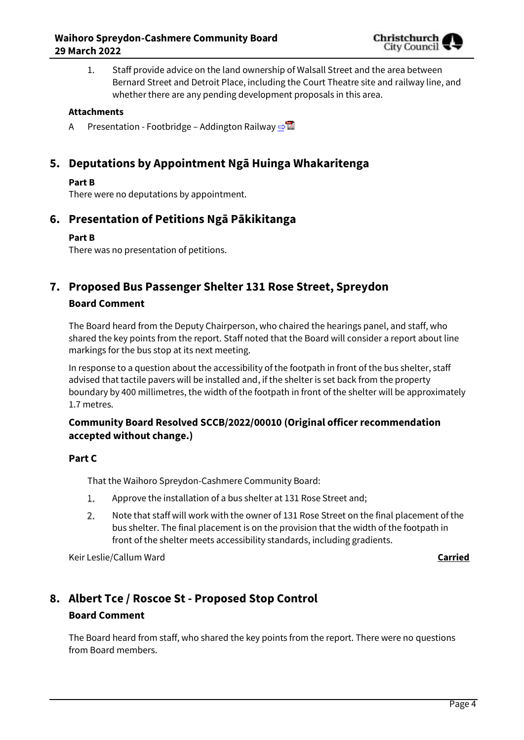

1. Staff provide advice on the land ownership of Walsall Street and the area between Bernard Street and Detroit Place, including the Court Theatre site and railway line, and whether there are any pending development proposals in this area.

### **Attachments**

A Presentation - Footbridge – Addington Railway  $\Rightarrow$ 

## **5. Deputations by Appointment Ngā Huinga Whakaritenga**

## **Part B**

There were no deputations by appointment.

## **6. Presentation of Petitions Ngā Pākikitanga**

## **Part B**

There was no presentation of petitions.

## **7. Proposed Bus Passenger Shelter 131 Rose Street, Spreydon Board Comment**

The Board heard from the Deputy Chairperson, who chaired the hearings panel, and staff, who shared the key points from the report. Staff noted that the Board will consider a report about line markings for the bus stop at its next meeting.

In response to a question about the accessibility of the footpath in front of the bus shelter, staff advised that tactile pavers will be installed and, if the shelter is set back from the property boundary by 400 millimetres, the width of the footpath in front of the shelter will be approximately 1.7 metres.

## **Community Board Resolved SCCB/2022/00010 (Original officer recommendation accepted without change.)**

## **Part C**

That the Waihoro Spreydon-Cashmere Community Board:

- $1$ . Approve the installation of a bus shelter at 131 Rose Street and;
- $2.$ Note that staff will work with the owner of 131 Rose Street on the final placement of the bus shelter. The final placement is on the provision that the width of the footpath in front of the shelter meets accessibility standards, including gradients.

Keir Leslie/Callum Ward **Carried**

## **8. Albert Tce / Roscoe St - Proposed Stop Control Board Comment**

The Board heard from staff, who shared the key points from the report. There were no questions from Board members.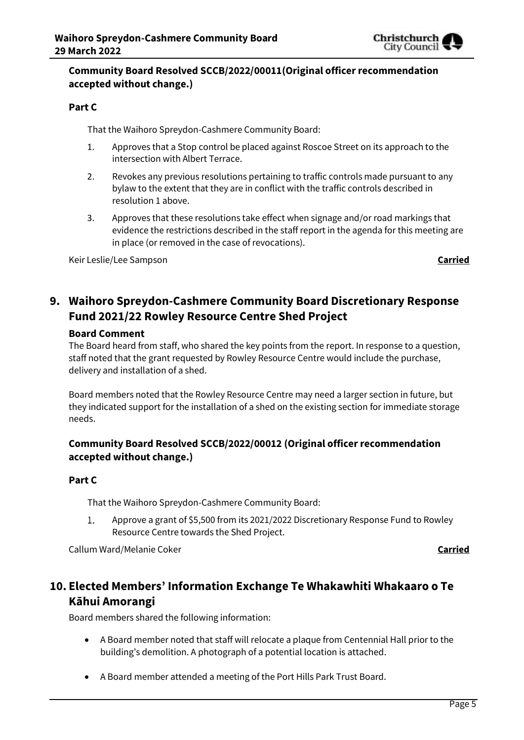

## **Community Board Resolved SCCB/2022/00011(Original officer recommendation accepted without change.)**

## **Part C**

That the Waihoro Spreydon-Cashmere Community Board:

- 1. Approves that a Stop control be placed against Roscoe Street on its approach to the intersection with Albert Terrace.
- 2. Revokes any previous resolutions pertaining to traffic controls made pursuant to any bylaw to the extent that they are in conflict with the traffic controls described in resolution 1 above.
- 3. Approves that these resolutions take effect when signage and/or road markings that evidence the restrictions described in the staff report in the agenda for this meeting are in place (or removed in the case of revocations).

Keir Leslie/Lee Sampson **Carried**

## **9. Waihoro Spreydon-Cashmere Community Board Discretionary Response Fund 2021/22 Rowley Resource Centre Shed Project**

## **Board Comment**

The Board heard from staff, who shared the key points from the report. In response to a question, staff noted that the grant requested by Rowley Resource Centre would include the purchase, delivery and installation of a shed.

Board members noted that the Rowley Resource Centre may need a larger section in future, but they indicated support for the installation of a shed on the existing section for immediate storage needs.

## **Community Board Resolved SCCB/2022/00012 (Original officer recommendation accepted without change.)**

## **Part C**

That the Waihoro Spreydon-Cashmere Community Board:

Approve a grant of \$5,500 from its 2021/2022 Discretionary Response Fund to Rowley 1. Resource Centre towards the Shed Project.

Callum Ward/Melanie Coker **Carried**

## **10. Elected Members' Information Exchange Te Whakawhiti Whakaaro o Te Kāhui Amorangi**

Board members shared the following information:

- A Board member noted that staff will relocate a plaque from Centennial Hall prior to the building's demolition. A photograph of a potential location is attached.
- A Board member attended a meeting of the Port Hills Park Trust Board.